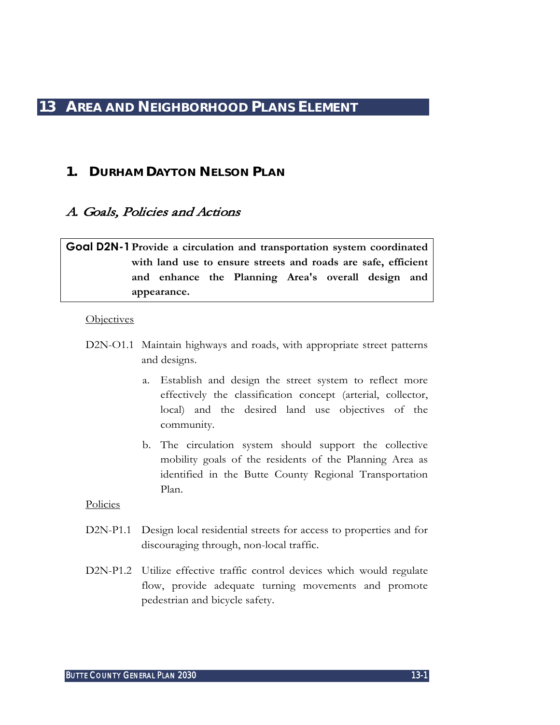# **1. DURHAM DAYTON NELSON PLAN**

# A. Goals, Policies and Actions

# **Goal D2N-1Provide a circulation and transportation system coordinated with land use to ensure streets and roads are safe, efficient and enhance the Planning Area's overall design and appearance.**

### **Objectives**

- D2N-O1.1 Maintain highways and roads, with appropriate street patterns and designs.
	- a. Establish and design the street system to reflect more effectively the classification concept (arterial, collector, local) and the desired land use objectives of the community.
	- b. The circulation system should support the collective mobility goals of the residents of the Planning Area as identified in the Butte County Regional Transportation Plan.

- D2N-P1.1 Design local residential streets for access to properties and for discouraging through, non-local traffic.
- D2N-P1.2 Utilize effective traffic control devices which would regulate flow, provide adequate turning movements and promote pedestrian and bicycle safety.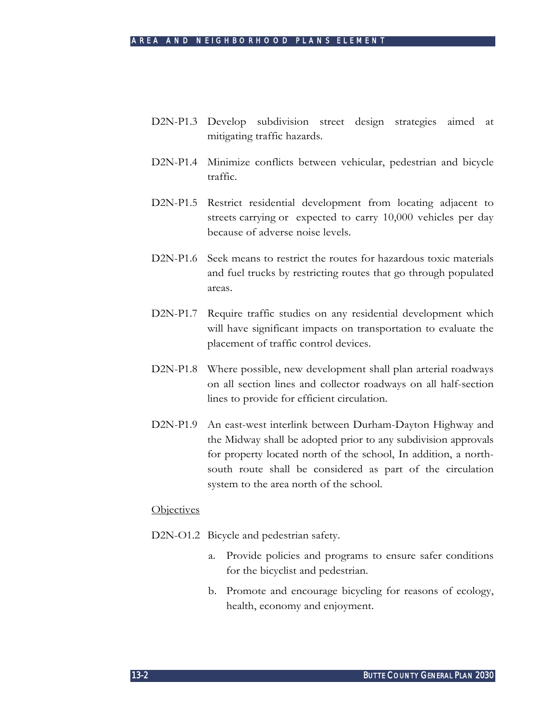- D2N-P1.3 Develop subdivision street design strategies aimed at mitigating traffic hazards.
- D2N-P1.4 Minimize conflicts between vehicular, pedestrian and bicycle traffic.
- D2N-P1.5 Restrict residential development from locating adjacent to streets carrying or expected to carry 10,000 vehicles per day because of adverse noise levels.
- D2N-P1.6 Seek means to restrict the routes for hazardous toxic materials and fuel trucks by restricting routes that go through populated areas.
- D2N-P1.7 Require traffic studies on any residential development which will have significant impacts on transportation to evaluate the placement of traffic control devices.
- D2N-P1.8 Where possible, new development shall plan arterial roadways on all section lines and collector roadways on all half-section lines to provide for efficient circulation.
- D2N-P1.9 An east-west interlink between Durham-Dayton Highway and the Midway shall be adopted prior to any subdivision approvals for property located north of the school, In addition, a northsouth route shall be considered as part of the circulation system to the area north of the school.

### **Objectives**

- D<sub>2</sub>N-O<sub>1.2</sub> Bicycle and pedestrian safety.
	- a. Provide policies and programs to ensure safer conditions for the bicyclist and pedestrian.
	- b. Promote and encourage bicycling for reasons of ecology, health, economy and enjoyment.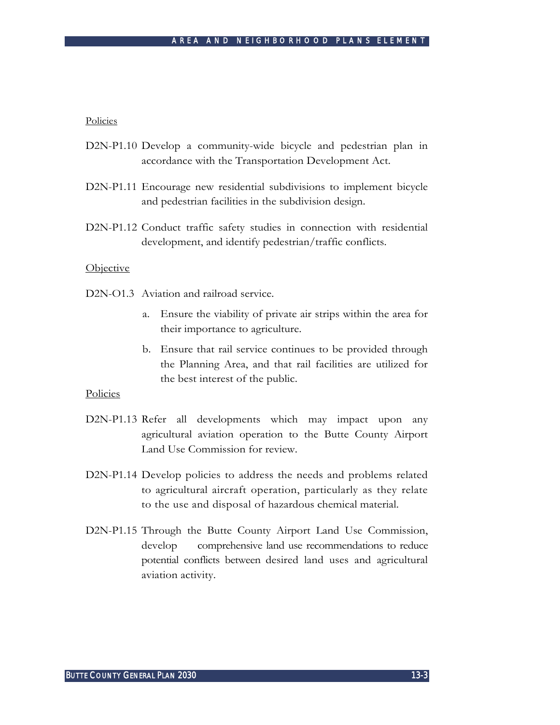#### Policies

- D2N-P1.10 Develop a community-wide bicycle and pedestrian plan in accordance with the Transportation Development Act.
- D2N-P1.11 Encourage new residential subdivisions to implement bicycle and pedestrian facilities in the subdivision design.
- D2N-P1.12 Conduct traffic safety studies in connection with residential development, and identify pedestrian/traffic conflicts.

#### **Objective**

D<sub>2</sub>N<sub>-O1.3</sub> Aviation and railroad service.

- a. Ensure the viability of private air strips within the area for their importance to agriculture.
- b. Ensure that rail service continues to be provided through the Planning Area, and that rail facilities are utilized for the best interest of the public.

- D2N-P1.13 Refer all developments which may impact upon any agricultural aviation operation to the Butte County Airport Land Use Commission for review.
- D2N-P1.14 Develop policies to address the needs and problems related to agricultural aircraft operation, particularly as they relate to the use and disposal of hazardous chemical material.
- D2N-P1.15 Through the Butte County Airport Land Use Commission, develop comprehensive land use recommendations to reduce potential conflicts between desired land uses and agricultural aviation activity.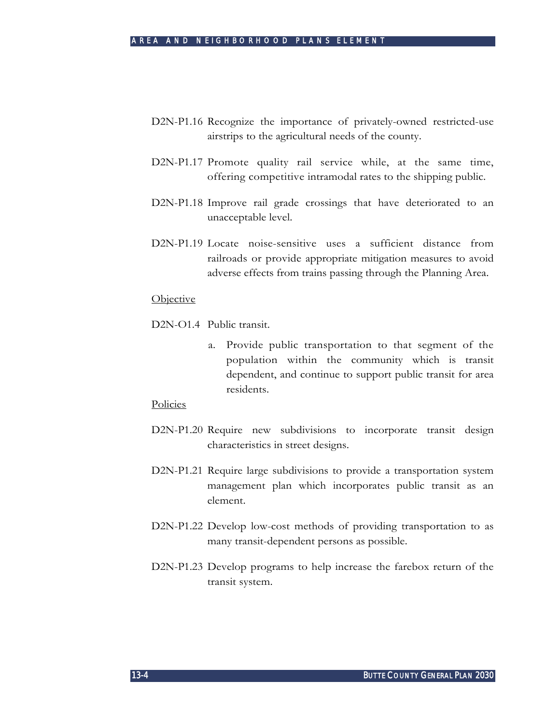- D2N-P1.16 Recognize the importance of privately-owned restricted-use airstrips to the agricultural needs of the county.
- D2N-P1.17 Promote quality rail service while, at the same time, offering competitive intramodal rates to the shipping public.
- D2N-P1.18 Improve rail grade crossings that have deteriorated to an unacceptable level.
- D2N-P1.19 Locate noise-sensitive uses a sufficient distance from railroads or provide appropriate mitigation measures to avoid adverse effects from trains passing through the Planning Area.

#### **Objective**

D2N-O1.4 Public transit.

a. Provide public transportation to that segment of the population within the community which is transit dependent, and continue to support public transit for area residents.

- D2N-P1.20 Require new subdivisions to incorporate transit design characteristics in street designs.
- D2N-P1.21 Require large subdivisions to provide a transportation system management plan which incorporates public transit as an element.
- D2N-P1.22 Develop low-cost methods of providing transportation to as many transit-dependent persons as possible.
- D2N-P1.23 Develop programs to help increase the farebox return of the transit system.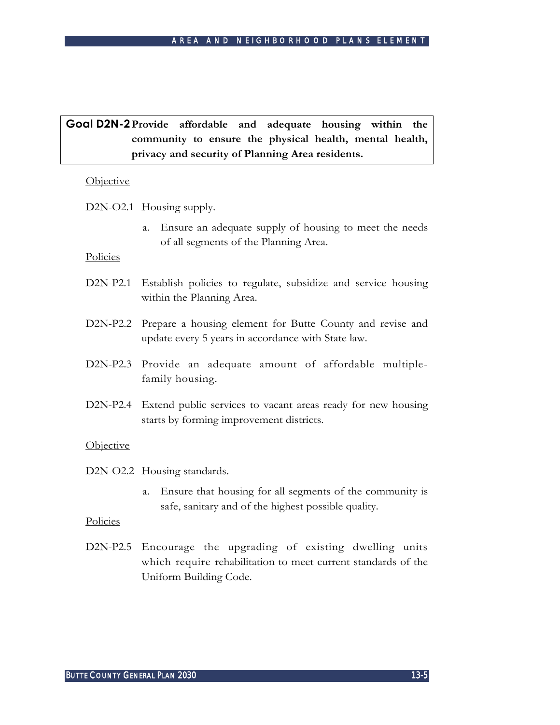# **Goal D2N-2Provide affordable and adequate housing within the community to ensure the physical health, mental health, privacy and security of Planning Area residents.**

### **Objective**

D2N-O2.1 Housing supply.

a. Ensure an adequate supply of housing to meet the needs of all segments of the Planning Area.

## Policies

- D2N-P2.1 Establish policies to regulate, subsidize and service housing within the Planning Area.
- D2N-P2.2 Prepare a housing element for Butte County and revise and update every 5 years in accordance with State law.
- D2N-P2.3 Provide an adequate amount of affordable multiplefamily housing.
- D2N-P2.4 Extend public services to vacant areas ready for new housing starts by forming improvement districts.

## **Objective**

D2N-O2.2 Housing standards.

a. Ensure that housing for all segments of the community is safe, sanitary and of the highest possible quality.

## Policies

D2N-P2.5 Encourage the upgrading of existing dwelling units which require rehabilitation to meet current standards of the Uniform Building Code.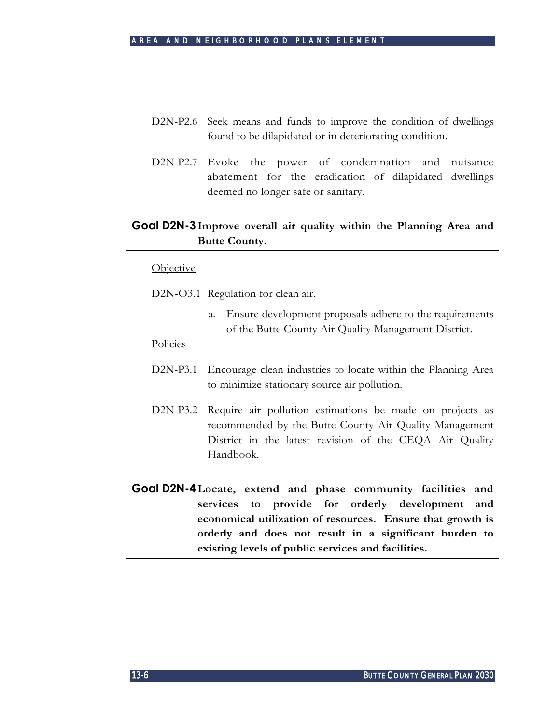- D2N-P2.6 Seek means and funds to improve the condition of dwellings found to be dilapidated or in deteriorating condition.
- D2N-P2.7 Evoke the power of condemnation and nuisance abatement for the eradication of dilapidated dwellings deemed no longer safe or sanitary.

# **Goal D2N-3Improve overall air quality within the Planning Area and Butte County.**

#### **Objective**

D2N-O3.1 Regulation for clean air.

a. Ensure development proposals adhere to the requirements of the Butte County Air Quality Management District.

#### **Policies**

- D2N-P3.1 Encourage clean industries to locate within the Planning Area to minimize stationary source air pollution.
- D2N-P3.2 Require air pollution estimations be made on projects as recommended by the Butte County Air Quality Management District in the latest revision of the CEQA Air Quality Handbook.

**Goal D2N-4Locate, extend and phase community facilities and services to provide for orderly development and economical utilization of resources. Ensure that growth is orderly and does not result in a significant burden to existing levels of public services and facilities.**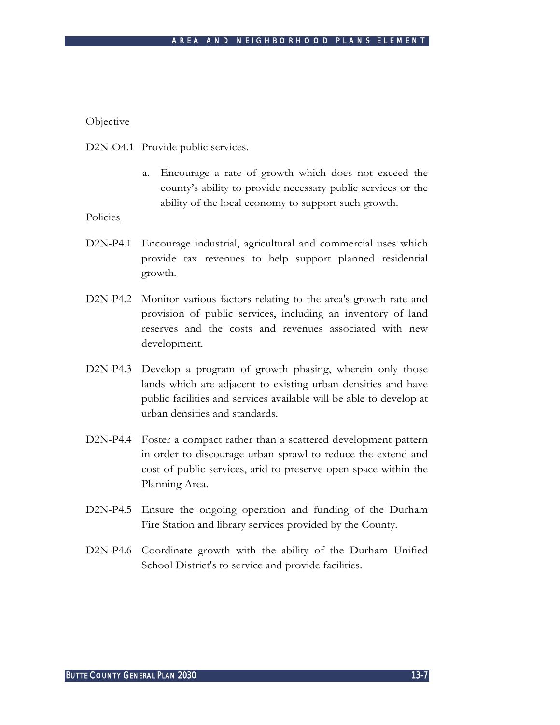#### Objective

D2N-O4.1 Provide public services.

a. Encourage a rate of growth which does not exceed the county's ability to provide necessary public services or the ability of the local economy to support such growth.

- D2N-P4.1 Encourage industrial, agricultural and commercial uses which provide tax revenues to help support planned residential growth.
- D2N-P4.2 Monitor various factors relating to the area's growth rate and provision of public services, including an inventory of land reserves and the costs and revenues associated with new development.
- D2N-P4.3 Develop a program of growth phasing, wherein only those lands which are adjacent to existing urban densities and have public facilities and services available will be able to develop at urban densities and standards.
- D2N-P4.4 Foster a compact rather than a scattered development pattern in order to discourage urban sprawl to reduce the extend and cost of public services, arid to preserve open space within the Planning Area.
- D2N-P4.5 Ensure the ongoing operation and funding of the Durham Fire Station and library services provided by the County.
- D2N-P4.6 Coordinate growth with the ability of the Durham Unified School District's to service and provide facilities.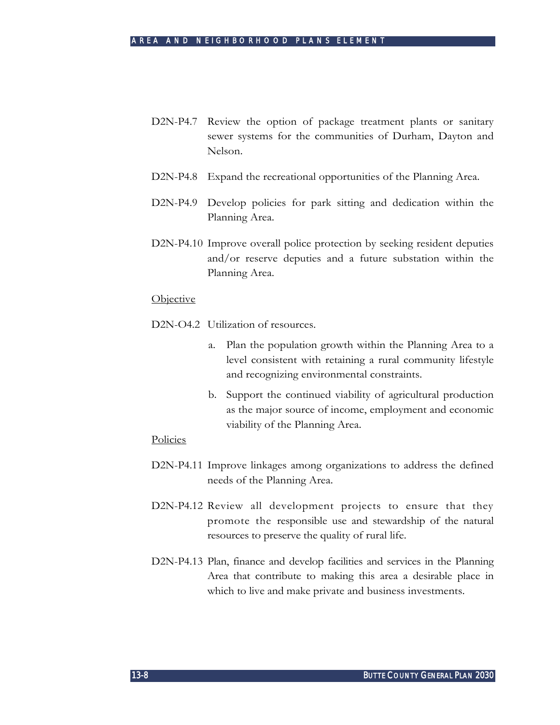- D2N-P4.7 Review the option of package treatment plants or sanitary sewer systems for the communities of Durham, Dayton and Nelson.
- D2N-P4.8 Expand the recreational opportunities of the Planning Area.
- D2N-P4.9 Develop policies for park sitting and dedication within the Planning Area.
- D2N-P4.10 Improve overall police protection by seeking resident deputies and/or reserve deputies and a future substation within the Planning Area.

#### Objective

D<sub>2</sub>N-O<sub>4.2</sub> Utilization of resources.

- a. Plan the population growth within the Planning Area to a level consistent with retaining a rural community lifestyle and recognizing environmental constraints.
- b. Support the continued viability of agricultural production as the major source of income, employment and economic viability of the Planning Area.

- D2N-P4.11 Improve linkages among organizations to address the defined needs of the Planning Area.
- D2N-P4.12 Review all development projects to ensure that they promote the responsible use and stewardship of the natural resources to preserve the quality of rural life.
- D2N-P4.13 Plan, finance and develop facilities and services in the Planning Area that contribute to making this area a desirable place in which to live and make private and business investments.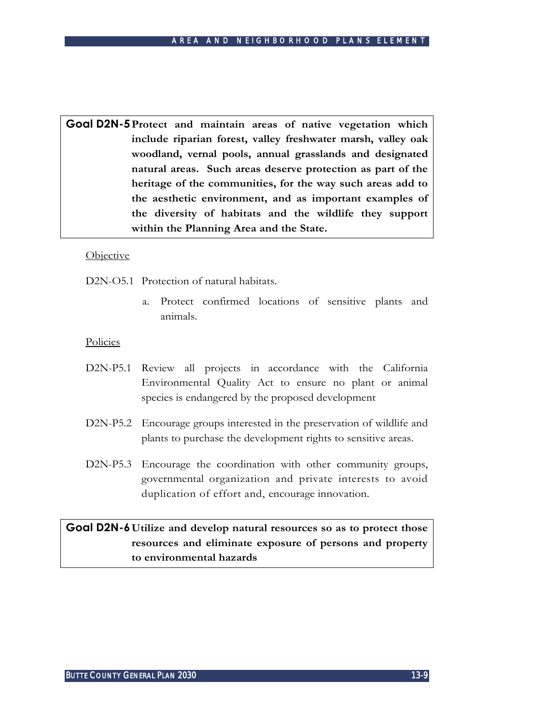**Goal D2N-5Protect and maintain areas of native vegetation which include riparian forest, valley freshwater marsh, valley oak woodland, vernal pools, annual grasslands and designated natural areas. Such areas deserve protection as part of the heritage of the communities, for the way such areas add to the aesthetic environment, and as important examples of the diversity of habitats and the wildlife they support within the Planning Area and the State.**

### **Objective**

D<sub>2</sub>N<sub>-O5.1</sub> Protection of natural habitats.

a. Protect confirmed locations of sensitive plants and animals.

### **Policies**

- D2N-P5.1 Review all projects in accordance with the California Environmental Quality Act to ensure no plant or animal species is endangered by the proposed development
- D2N-P5.2 Encourage groups interested in the preservation of wildlife and plants to purchase the development rights to sensitive areas.
- D2N-P5.3 Encourage the coordination with other community groups, governmental organization and private interests to avoid duplication of effort and, encourage innovation.

# **Goal D2N-6Utilize and develop natural resources so as to protect those resources and eliminate exposure of persons and property to environmental hazards**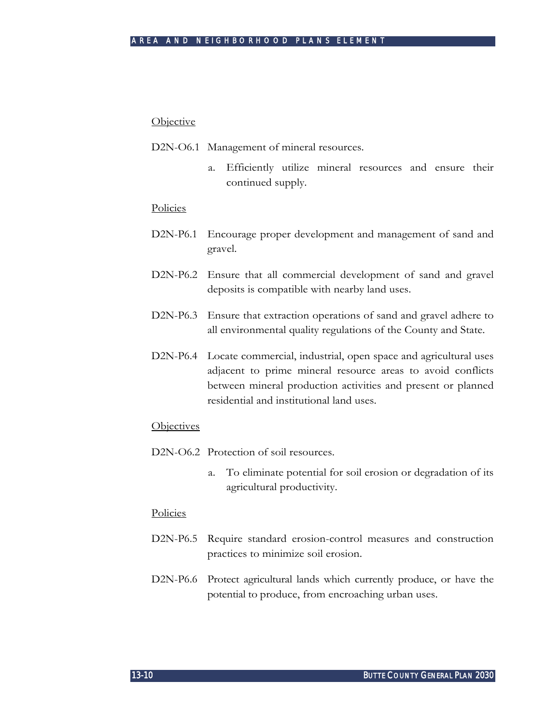#### **Objective**

- D2N-O6.1 Management of mineral resources.
	- a. Efficiently utilize mineral resources and ensure their continued supply.

#### Policies

- D2N-P6.1 Encourage proper development and management of sand and gravel.
- D2N-P6.2 Ensure that all commercial development of sand and gravel deposits is compatible with nearby land uses.
- D2N-P6.3 Ensure that extraction operations of sand and gravel adhere to all environmental quality regulations of the County and State.
- D2N-P6.4 Locate commercial, industrial, open space and agricultural uses adjacent to prime mineral resource areas to avoid conflicts between mineral production activities and present or planned residential and institutional land uses.

#### **Objectives**

- D<sub>2</sub>N-O<sub>6.2</sub> Protection of soil resources.
	- a. To eliminate potential for soil erosion or degradation of its agricultural productivity.

- D2N-P6.5 Require standard erosion-control measures and construction practices to minimize soil erosion.
- D2N-P6.6 Protect agricultural lands which currently produce, or have the potential to produce, from encroaching urban uses.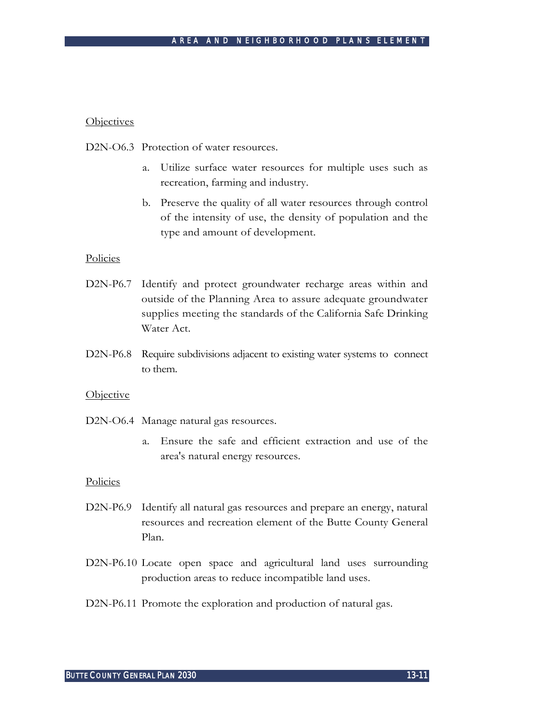#### **Objectives**

D2N-O6.3 Protection of water resources.

- a. Utilize surface water resources for multiple uses such as recreation, farming and industry.
- b. Preserve the quality of all water resources through control of the intensity of use, the density of population and the type and amount of development.

#### Policies

- D2N-P6.7 Identify and protect groundwater recharge areas within and outside of the Planning Area to assure adequate groundwater supplies meeting the standards of the California Safe Drinking Water Act.
- D2N-P6.8 Require subdivisions adjacent to existing water systems to connect to them.

#### **Objective**

- D2N-O6.4 Manage natural gas resources.
	- a. Ensure the safe and efficient extraction and use of the area's natural energy resources.

- D2N-P6.9 Identify all natural gas resources and prepare an energy, natural resources and recreation element of the Butte County General Plan.
- D2N-P6.10 Locate open space and agricultural land uses surrounding production areas to reduce incompatible land uses.
- D2N-P6.11 Promote the exploration and production of natural gas.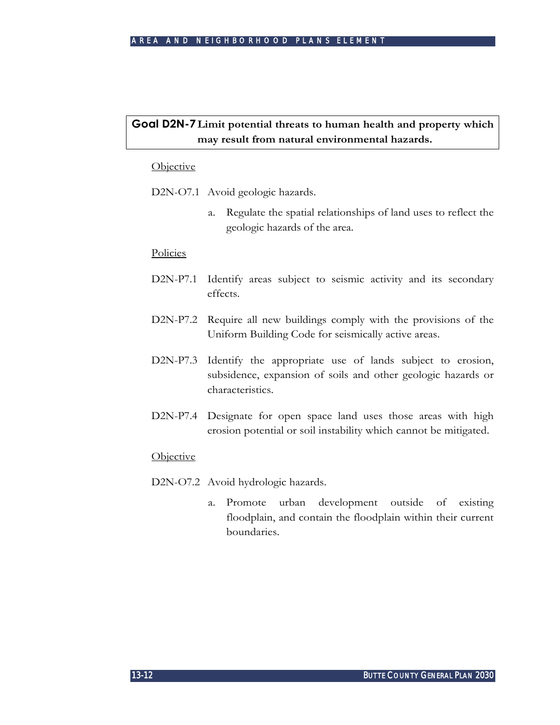# **Goal D2N-7Limit potential threats to human health and property which may result from natural environmental hazards.**

### **Objective**

D2N-O7.1 Avoid geologic hazards.

a. Regulate the spatial relationships of land uses to reflect the geologic hazards of the area.

#### **Policies**

- D2N-P7.1 Identify areas subject to seismic activity and its secondary effects.
- D2N-P7.2 Require all new buildings comply with the provisions of the Uniform Building Code for seismically active areas.
- D2N-P7.3 Identify the appropriate use of lands subject to erosion, subsidence, expansion of soils and other geologic hazards or characteristics.
- D2N-P7.4 Designate for open space land uses those areas with high erosion potential or soil instability which cannot be mitigated.

#### **Objective**

- D2N-O7.2 Avoid hydrologic hazards.
	- a. Promote urban development outside of existing floodplain, and contain the floodplain within their current boundaries.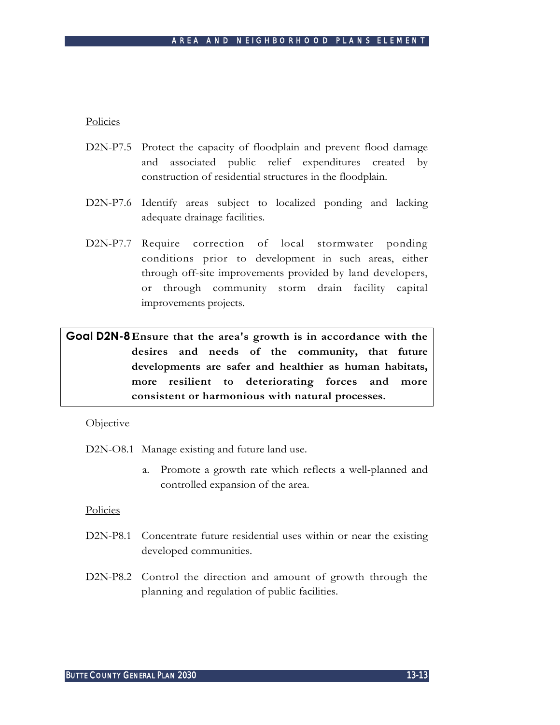Policies

- D2N-P7.5 Protect the capacity of floodplain and prevent flood damage and associated public relief expenditures created by construction of residential structures in the floodplain.
- D2N-P7.6 Identify areas subject to localized ponding and lacking adequate drainage facilities.
- D2N-P7.7 Require correction of local stormwater ponding conditions prior to development in such areas, either through off-site improvements provided by land developers, or through community storm drain facility capital improvements projects.

**Goal D2N-8Ensure that the area's growth is in accordance with the desires and needs of the community, that future developments are safer and healthier as human habitats, more resilient to deteriorating forces and more consistent or harmonious with natural processes.**

#### **Objective**

D2N-O8.1 Manage existing and future land use.

a. Promote a growth rate which reflects a well-planned and controlled expansion of the area.

- D2N-P8.1 Concentrate future residential uses within or near the existing developed communities.
- D2N-P8.2 Control the direction and amount of growth through the planning and regulation of public facilities.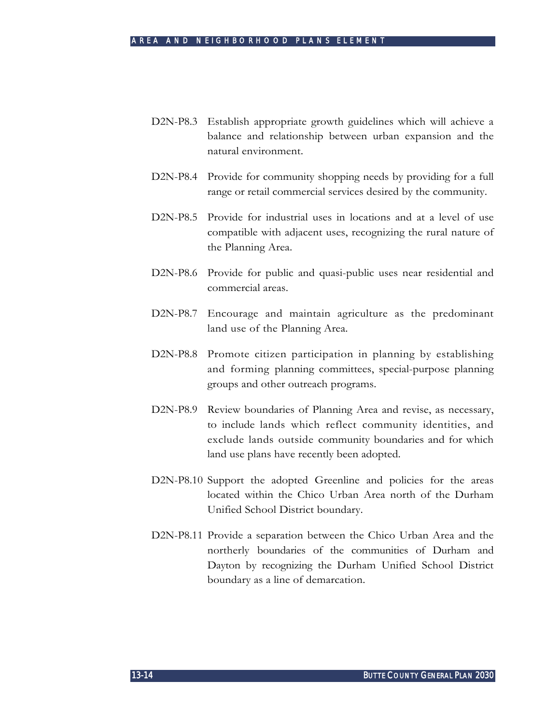- D2N-P8.3 Establish appropriate growth guidelines which will achieve a balance and relationship between urban expansion and the natural environment.
- D2N-P8.4 Provide for community shopping needs by providing for a full range or retail commercial services desired by the community.
- D2N-P8.5 Provide for industrial uses in locations and at a level of use compatible with adjacent uses, recognizing the rural nature of the Planning Area.
- D2N-P8.6 Provide for public and quasi-public uses near residential and commercial areas.
- D2N-P8.7 Encourage and maintain agriculture as the predominant land use of the Planning Area.
- D2N-P8.8 Promote citizen participation in planning by establishing and forming planning committees, special-purpose planning groups and other outreach programs.
- D2N-P8.9 Review boundaries of Planning Area and revise, as necessary, to include lands which reflect community identities, and exclude lands outside community boundaries and for which land use plans have recently been adopted.
- D2N-P8.10 Support the adopted Greenline and policies for the areas located within the Chico Urban Area north of the Durham Unified School District boundary.
- D2N-P8.11 Provide a separation between the Chico Urban Area and the northerly boundaries of the communities of Durham and Dayton by recognizing the Durham Unified School District boundary as a line of demarcation.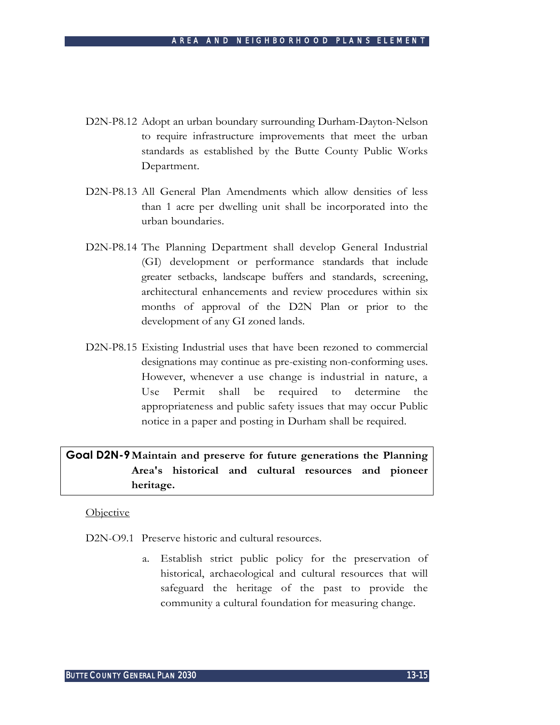- D2N-P8.12 Adopt an urban boundary surrounding Durham-Dayton-Nelson to require infrastructure improvements that meet the urban standards as established by the Butte County Public Works Department.
- D2N-P8.13 All General Plan Amendments which allow densities of less than 1 acre per dwelling unit shall be incorporated into the urban boundaries.
- D2N-P8.14 The Planning Department shall develop General Industrial (GI) development or performance standards that include greater setbacks, landscape buffers and standards, screening, architectural enhancements and review procedures within six months of approval of the D2N Plan or prior to the development of any GI zoned lands.
- D2N-P8.15 Existing Industrial uses that have been rezoned to commercial designations may continue as pre-existing non-conforming uses. However, whenever a use change is industrial in nature, a Use Permit shall be required to determine the appropriateness and public safety issues that may occur Public notice in a paper and posting in Durham shall be required.

# **Goal D2N-9Maintain and preserve for future generations the Planning Area's historical and cultural resources and pioneer heritage.**

## **Objective**

D<sub>2</sub>N<sub>-</sub>O<sub>9</sub>.1 Preserve historic and cultural resources.

a. Establish strict public policy for the preservation of historical, archaeological and cultural resources that will safeguard the heritage of the past to provide the community a cultural foundation for measuring change.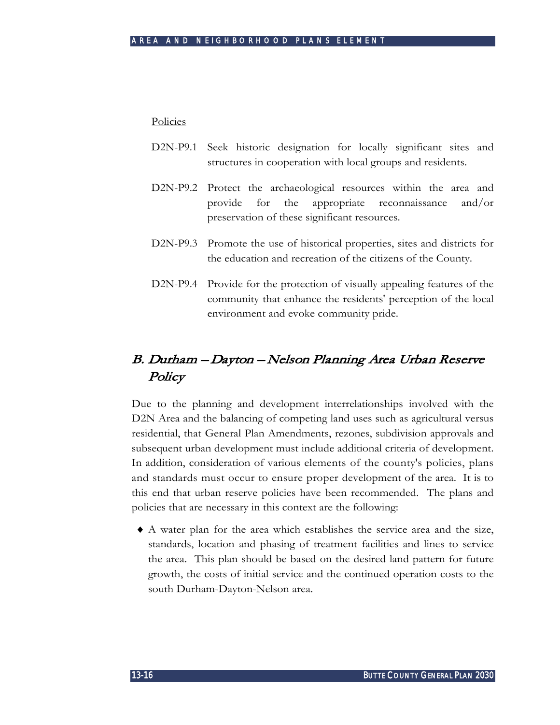### Policies

- D2N-P9.1 Seek historic designation for locally significant sites and structures in cooperation with local groups and residents.
- D2N-P9.2 Protect the archaeological resources within the area and provide for the appropriate reconnaissance and/or preservation of these significant resources.
- D2N-P9.3 Promote the use of historical properties, sites and districts for the education and recreation of the citizens of the County.
- D2N-P9.4 Provide for the protection of visually appealing features of the community that enhance the residents' perception of the local environment and evoke community pride.

# B. Durham – Dayton – Nelson Planning Area Urban Reserve **Policy**

Due to the planning and development interrelationships involved with the D2N Area and the balancing of competing land uses such as agricultural versus residential, that General Plan Amendments, rezones, subdivision approvals and subsequent urban development must include additional criteria of development. In addition, consideration of various elements of the county's policies, plans and standards must occur to ensure proper development of the area. It is to this end that urban reserve policies have been recommended. The plans and policies that are necessary in this context are the following:

♦ A water plan for the area which establishes the service area and the size, standards, location and phasing of treatment facilities and lines to service the area. This plan should be based on the desired land pattern for future growth, the costs of initial service and the continued operation costs to the south Durham-Dayton-Nelson area.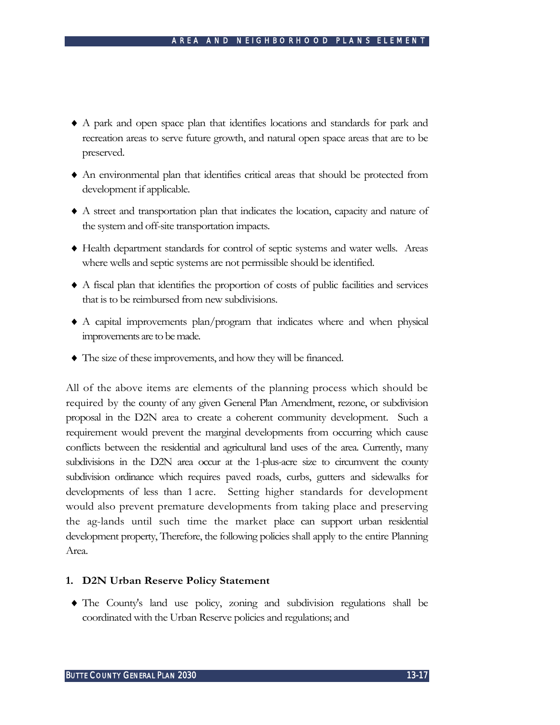- ♦ A park and open space plan that identifies locations and standards for park and recreation areas to serve future growth, and natural open space areas that are to be preserved.
- ♦ An environmental plan that identifies critical areas that should be protected from development if applicable.
- ♦ A street and transportation plan that indicates the location, capacity and nature of the system and off-site transportation impacts.
- ♦ Health department standards for control of septic systems and water wells. Areas where wells and septic systems are not permissible should be identified.
- ♦ A fiscal plan that identifies the proportion of costs of public facilities and services that is to be reimbursed from new subdivisions.
- ♦ A capital improvements plan/program that indicates where and when physical improvements are to be made.
- ♦ The size of these improvements, and how they will be financed.

All of the above items are elements of the planning process which should be required by the county of any given General Plan Amendment, rezone, or subdivision proposal in the D2N area to create a coherent community development. Such a requirement would prevent the marginal developments from occurring which cause conflicts between the residential and agricultural land uses of the area. Currently, many subdivisions in the D2N area occur at the 1-plus-acre size to circumvent the county subdivision ordinance which requires paved roads, curbs, gutters and sidewalks for developments of less than 1 acre. Setting higher standards for development would also prevent premature developments from taking place and preserving the ag-lands until such time the market place can support urban residential development property, Therefore, the following policies shall apply to the entire Planning Area.

## **1. D2N Urban Reserve Policy Statement**

♦ The County's land use policy, zoning and subdivision regulations shall be coordinated with the Urban Reserve policies and regulations; and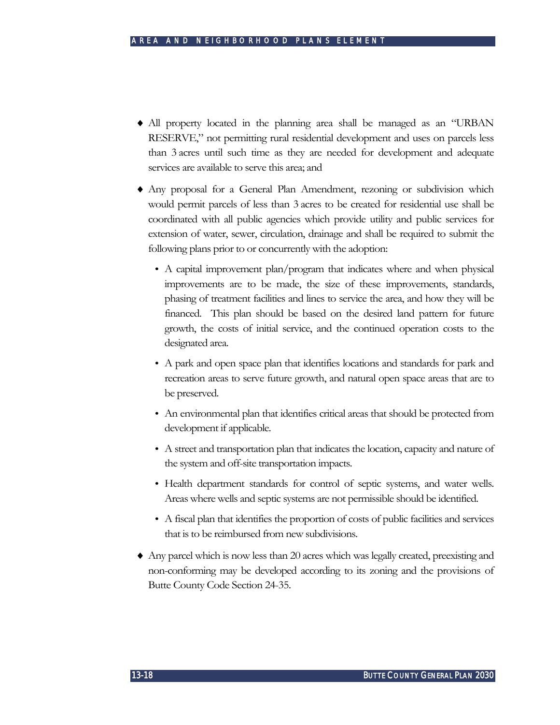- ♦ All property located in the planning area shall be managed as an "URBAN RESERVE," not permitting rural residential development and uses on parcels less than 3 acres until such time as they are needed for development and adequate services are available to serve this area; and
- ♦ Any proposal for a General Plan Amendment, rezoning or subdivision which would permit parcels of less than 3 acres to be created for residential use shall be coordinated with all public agencies which provide utility and public services for extension of water, sewer, circulation, drainage and shall be required to submit the following plans prior to or concurrently with the adoption:
	- A capital improvement plan/program that indicates where and when physical improvements are to be made, the size of these improvements, standards, phasing of treatment facilities and lines to service the area, and how they will be financed. This plan should be based on the desired land pattern for future growth, the costs of initial service, and the continued operation costs to the designated area.
	- A park and open space plan that identifies locations and standards for park and recreation areas to serve future growth, and natural open space areas that are to be preserved.
	- An environmental plan that identifies critical areas that should be protected from development if applicable.
	- A street and transportation plan that indicates the location, capacity and nature of the system and off-site transportation impacts.
	- Health department standards for control of septic systems, and water wells. Areas where wells and septic systems are not permissible should be identified.
	- A fiscal plan that identifies the proportion of costs of public facilities and services that is to be reimbursed from new subdivisions.
- ♦ Any parcel which is now less than 20 acres which was legally created, preexisting and non-conforming may be developed according to its zoning and the provisions of Butte County Code Section 24-35.